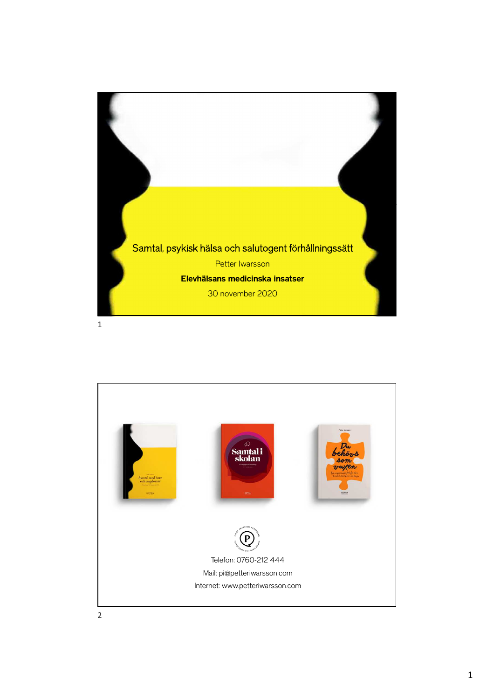

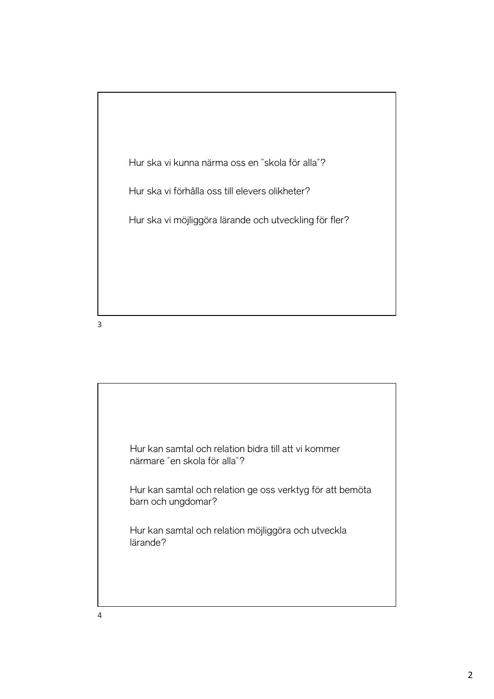

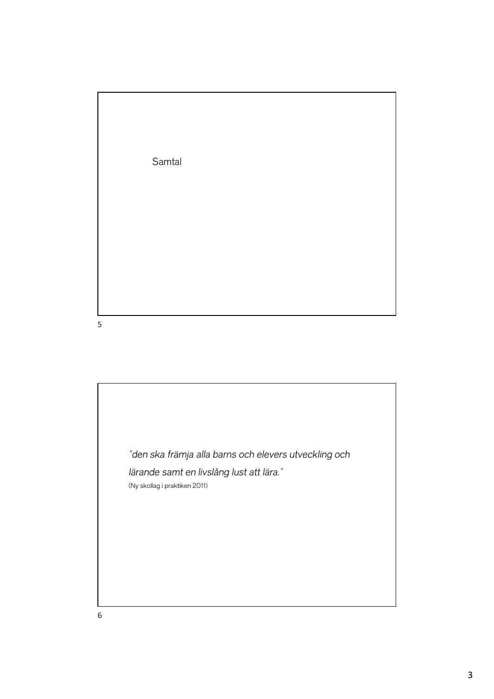Samtal

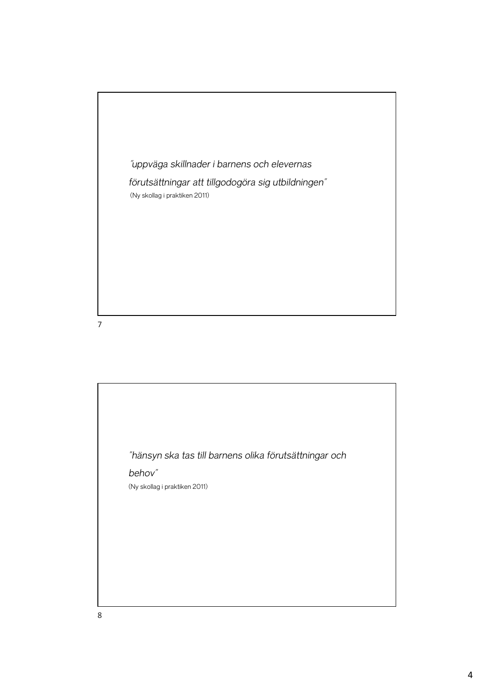

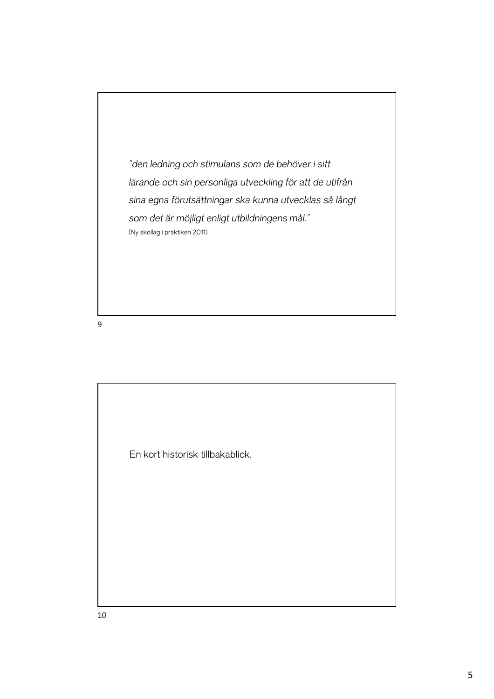*"den ledning och stimulans som de behöver i sitt lärande och sin personliga utveckling för att de utifrån sina egna förutsättningar ska kunna utvecklas så långt som det är möjligt enligt utbildningens mål."* (Ny skollag i praktiken 2011)

9

En kort historisk tillbakablick.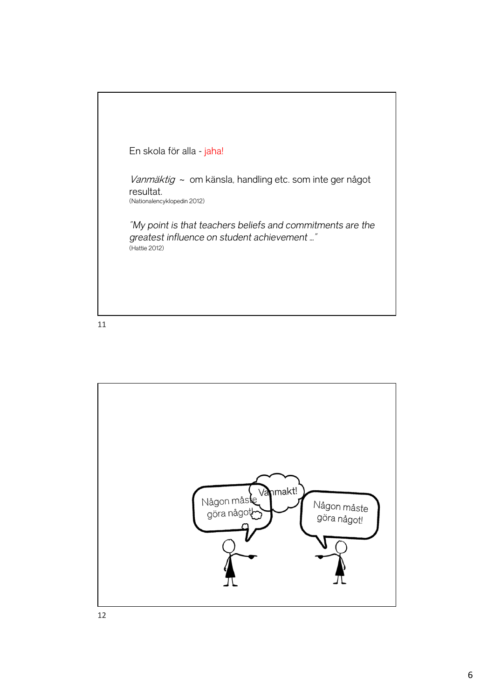

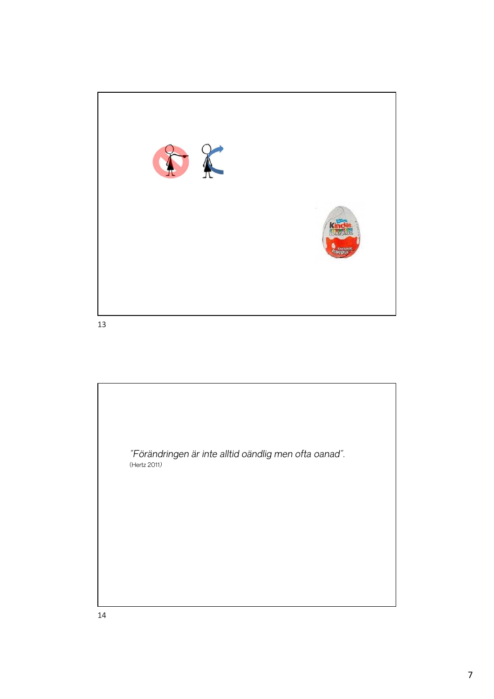

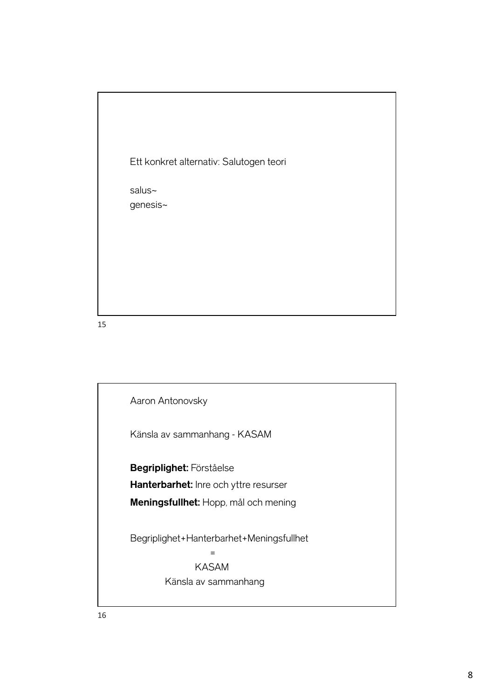Ett konkret alternativ: Salutogen teori

salus~ genesis~

Aaron Antonovsky Känsla av sammanhang - KASAM **Begriplighet:** Förståelse **Hanterbarhet:** Inre och yttre resurser **Meningsfullhet:** Hopp, mål och mening Begriplighet+Hanterbarhet+Meningsfullhet = KASAM Känsla av sammanhang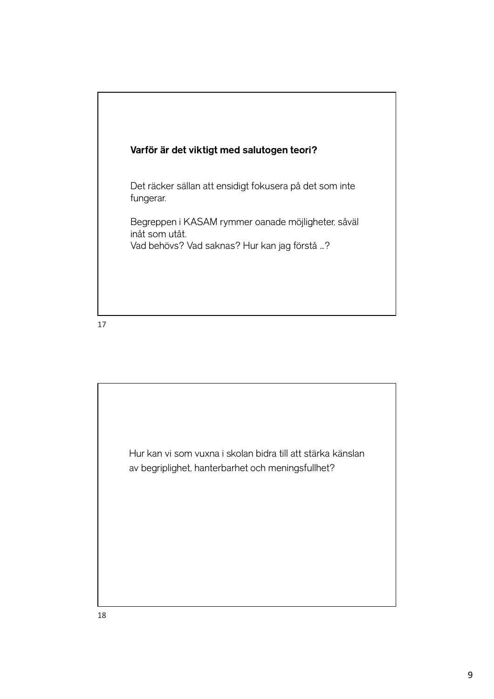

Det räcker sällan att ensidigt fokusera på det som inte fungerar.

Begreppen i KASAM rymmer oanade möjligheter, såväl inåt som utåt. Vad behövs? Vad saknas? Hur kan jag förstå …?

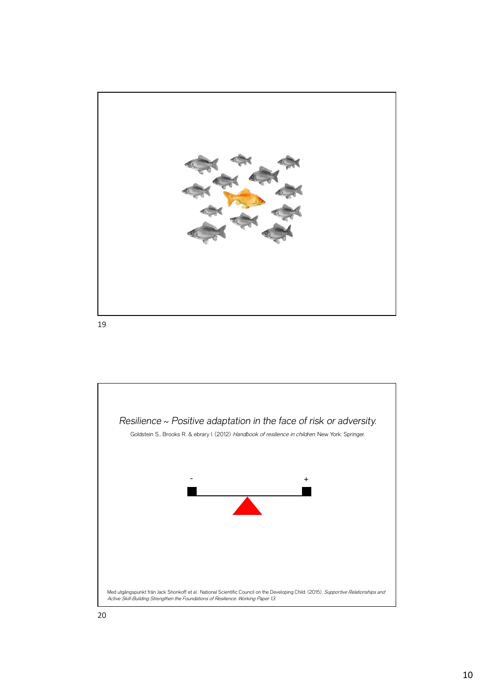

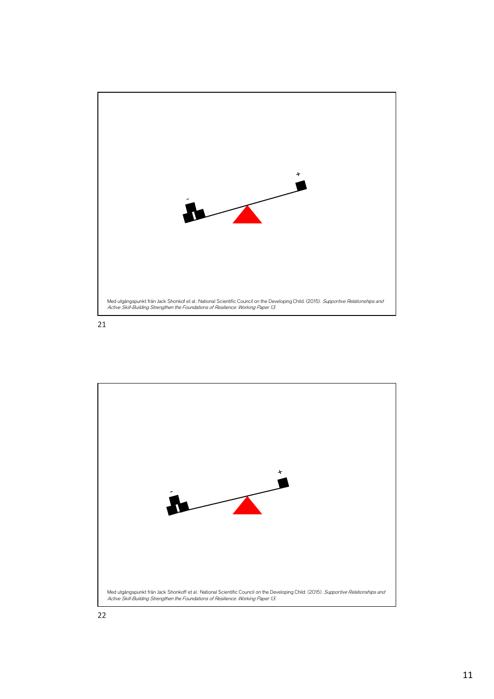

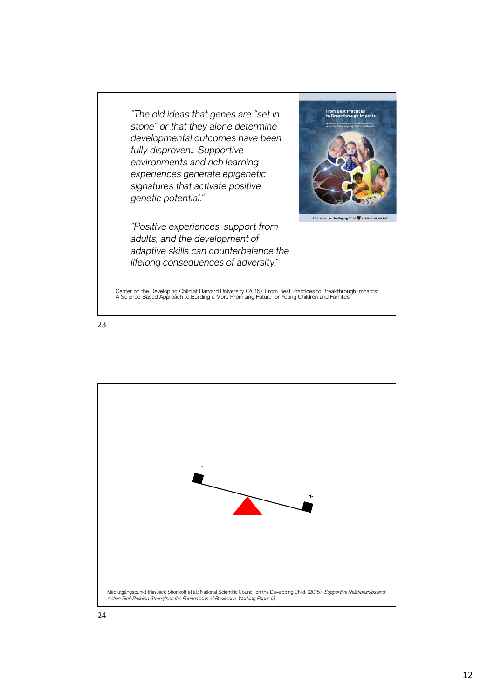*"The old ideas that genes are "set in stone" or that they alone determine developmental outcomes have been fully disproven… Supportive environments and rich learning experiences generate epigenetic signatures that activate positive genetic potential."* 

*"Positive experiences, support from adults, and the development of adaptive skills can counterbalance the lifelong consequences of adversity."*



on the Developing Child

Center on the Developing Child at Harvard University (2016). From Best Practices to Breakthrough Impacts: A Science-Based Approach to Building a More Promising Future for Young Children and Families.

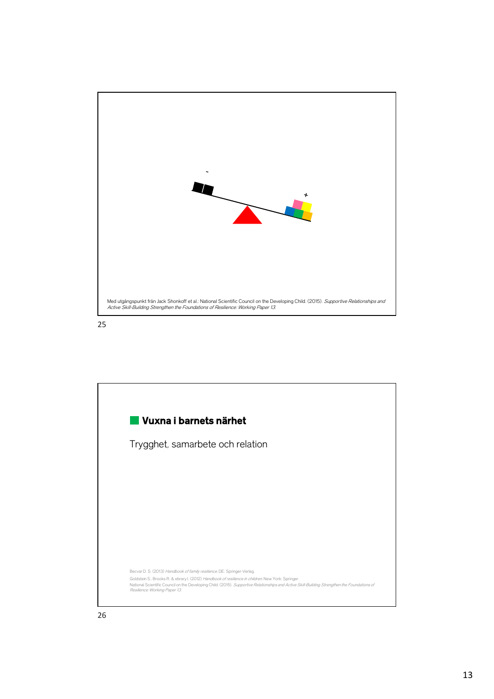



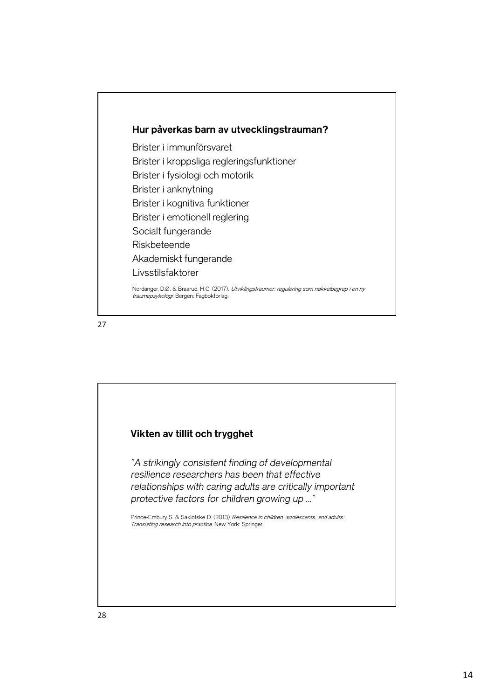

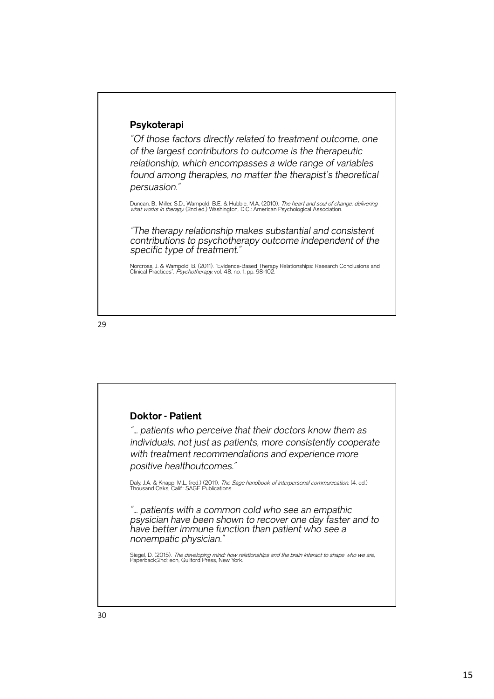## **Psykoterapi**

*"Of those factors directly related to treatment outcome, one of the largest contributors to outcome is the therapeutic relationship, which encompasses a wide range of variables found among therapies, no matter the therapist's theoretical persuasion."* 

Duncan, B., Miller, S.D., Wampold, B.E. & Hubble, M.A. (2010). *The heart and soul of change: delivering*<br>what works in therapy. (2nd ed.) Washington, D.C.: American Psychological Association.

*"The therapy relationship makes substantial and consistent contributions to psychotherapy outcome independent of the specific type of treatment."*

Norcross, J. & Wampold, B. (2011). "Evidence-Based Therapy Relationships: Research Conclusions and<br>Clinical Practices", *Psychotherapy,* vol. 48, no. 1, pp. 98-102.

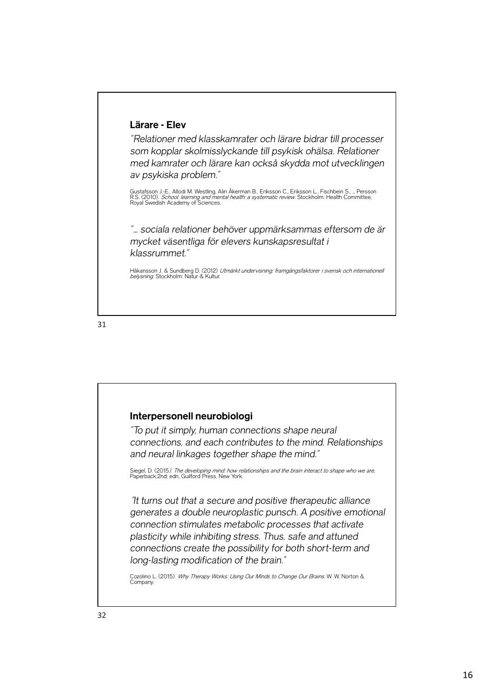## **Lärare - Elev**

*"Relationer med klasskamrater och lärare bidrar till processer som kopplar skolmisslyckande till psykisk ohälsa. Relationer med kamrater och lärare kan också skydda mot utvecklingen av psykiska problem."* 

Gustafsson J.-E., Allodi M. Westling, Alin Åkerman B., Eriksson C., Eriksson L., Fischbein S., ... Persson<br>R.S. (2010). *School, learning and mental health: a systematic review*. Stockholm: Health Committee,<br>Royal Swedish

*"… sociala relationer behöver uppmärksammas eftersom de är mycket väsentliga för elevers kunskapsresultat i klassrummet."*

Håkansson J. & Sundberg D. (2012) *Utmärkt undervisning: framgångsfaktorer i svensk och internationell*<br>*belysning.* Stockholm: Natur & Kultur.

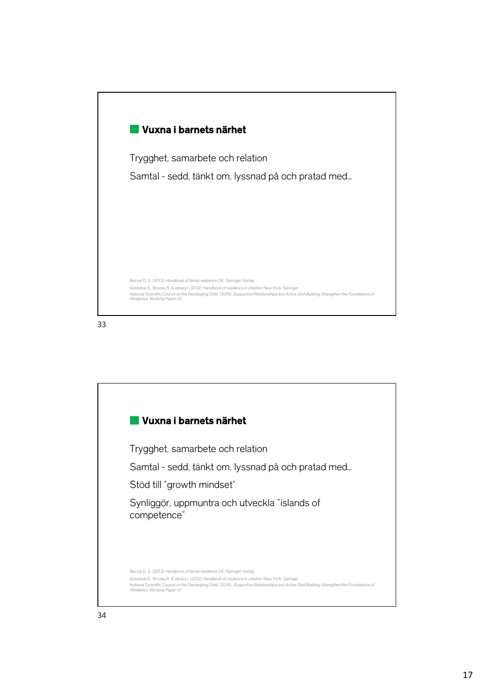

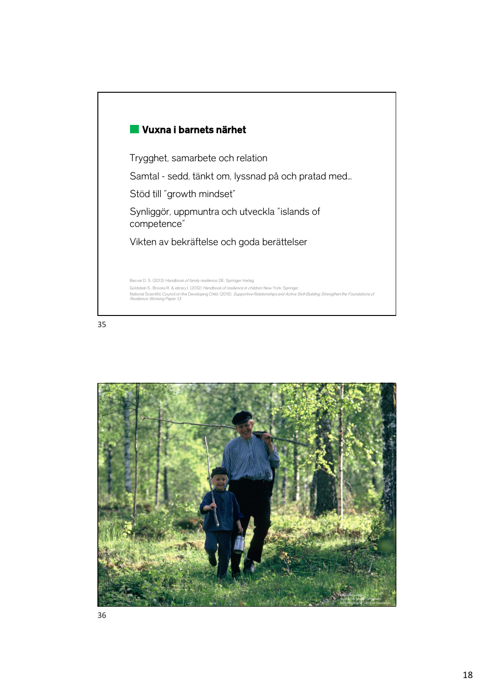